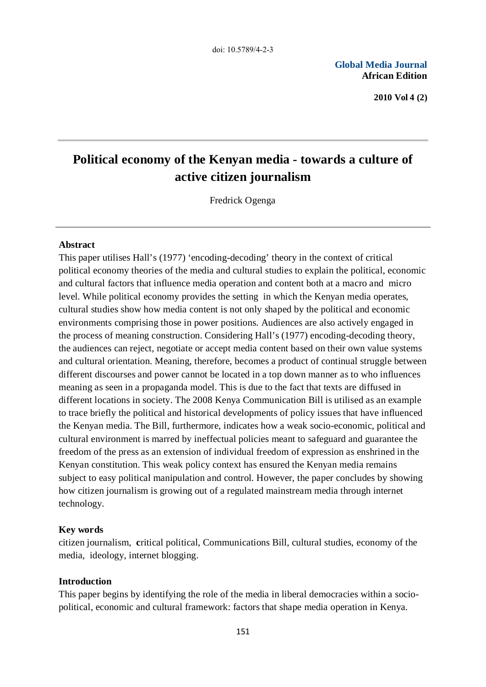**Global Media Journal African Edition** 

**2010 Vol 4 (2)**

# **Political economy of the Kenyan media - towards a culture of active citizen journalism**

Fredrick Ogenga

#### **Abstract**

This paper utilises Hall's (1977) 'encoding-decoding' theory in the context of critical political economy theories of the media and cultural studies to explain the political, economic and cultural factors that influence media operation and content both at a macro and micro level. While political economy provides the setting in which the Kenyan media operates, cultural studies show how media content is not only shaped by the political and economic environments comprising those in power positions. Audiences are also actively engaged in the process of meaning construction. Considering Hall's (1977) encoding-decoding theory, the audiences can reject, negotiate or accept media content based on their own value systems and cultural orientation. Meaning, therefore, becomes a product of continual struggle between different discourses and power cannot be located in a top down manner as to who influences meaning as seen in a propaganda model. This is due to the fact that texts are diffused in different locations in society. The 2008 Kenya Communication Bill is utilised as an example to trace briefly the political and historical developments of policy issues that have influenced the Kenyan media. The Bill, furthermore, indicates how a weak socio-economic, political and cultural environment is marred by ineffectual policies meant to safeguard and guarantee the freedom of the press as an extension of individual freedom of expression as enshrined in the Kenyan constitution. This weak policy context has ensured the Kenyan media remains subject to easy political manipulation and control. However, the paper concludes by showing how citizen journalism is growing out of a regulated mainstream media through internet technology.

## **Key words**

citizen journalism, **c**ritical political, Communications Bill, cultural studies, economy of the media, ideology, internet blogging.

## **Introduction**

This paper begins by identifying the role of the media in liberal democracies within a sociopolitical, economic and cultural framework: factors that shape media operation in Kenya.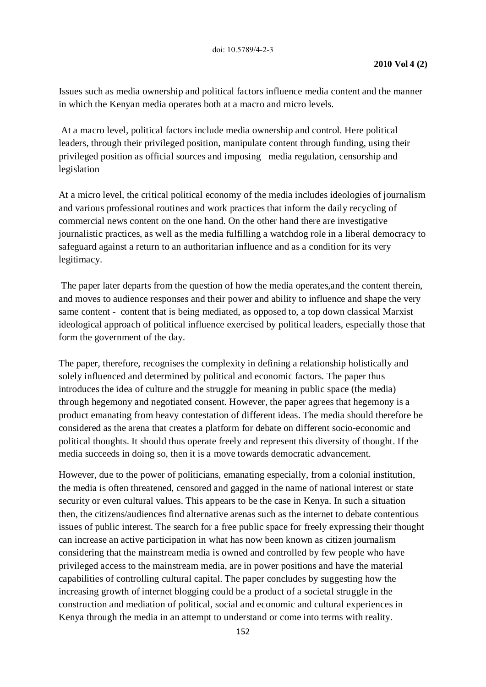Issues such as media ownership and political factors influence media content and the manner in which the Kenyan media operates both at a macro and micro levels.

At a macro level, political factors include media ownership and control. Here political leaders, through their privileged position, manipulate content through funding, using their privileged position as official sources and imposing media regulation, censorship and legislation

At a micro level, the critical political economy of the media includes ideologies of journalism and various professional routines and work practices that inform the daily recycling of commercial news content on the one hand. On the other hand there are investigative journalistic practices, as well as the media fulfilling a watchdog role in a liberal democracy to safeguard against a return to an authoritarian influence and as a condition for its very legitimacy.

The paper later departs from the question of how the media operates,and the content therein, and moves to audience responses and their power and ability to influence and shape the very same content - content that is being mediated, as opposed to, a top down classical Marxist ideological approach of political influence exercised by political leaders, especially those that form the government of the day.

The paper, therefore, recognises the complexity in defining a relationship holistically and solely influenced and determined by political and economic factors. The paper thus introduces the idea of culture and the struggle for meaning in public space (the media) through hegemony and negotiated consent. However, the paper agrees that hegemony is a product emanating from heavy contestation of different ideas. The media should therefore be considered as the arena that creates a platform for debate on different socio-economic and political thoughts. It should thus operate freely and represent this diversity of thought. If the media succeeds in doing so, then it is a move towards democratic advancement.

However, due to the power of politicians, emanating especially, from a colonial institution, the media is often threatened, censored and gagged in the name of national interest or state security or even cultural values. This appears to be the case in Kenya. In such a situation then, the citizens/audiences find alternative arenas such as the internet to debate contentious issues of public interest. The search for a free public space for freely expressing their thought can increase an active participation in what has now been known as citizen journalism considering that the mainstream media is owned and controlled by few people who have privileged access to the mainstream media, are in power positions and have the material capabilities of controlling cultural capital. The paper concludes by suggesting how the increasing growth of internet blogging could be a product of a societal struggle in the construction and mediation of political, social and economic and cultural experiences in Kenya through the media in an attempt to understand or come into terms with reality.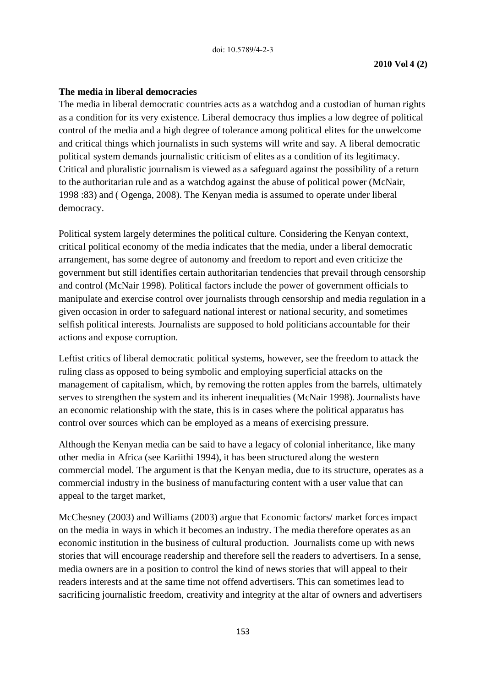#### **The media in liberal democracies**

The media in liberal democratic countries acts as a watchdog and a custodian of human rights as a condition for its very existence. Liberal democracy thus implies a low degree of political control of the media and a high degree of tolerance among political elites for the unwelcome and critical things which journalists in such systems will write and say. A liberal democratic political system demands journalistic criticism of elites as a condition of its legitimacy. Critical and pluralistic journalism is viewed as a safeguard against the possibility of a return to the authoritarian rule and as a watchdog against the abuse of political power (McNair, 1998 :83) and ( Ogenga, 2008). The Kenyan media is assumed to operate under liberal democracy.

Political system largely determines the political culture. Considering the Kenyan context, critical political economy of the media indicates that the media, under a liberal democratic arrangement, has some degree of autonomy and freedom to report and even criticize the government but still identifies certain authoritarian tendencies that prevail through censorship and control (McNair 1998). Political factors include the power of government officials to manipulate and exercise control over journalists through censorship and media regulation in a given occasion in order to safeguard national interest or national security, and sometimes selfish political interests. Journalists are supposed to hold politicians accountable for their actions and expose corruption.

Leftist critics of liberal democratic political systems, however, see the freedom to attack the ruling class as opposed to being symbolic and employing superficial attacks on the management of capitalism, which, by removing the rotten apples from the barrels, ultimately serves to strengthen the system and its inherent inequalities (McNair 1998). Journalists have an economic relationship with the state, this is in cases where the political apparatus has control over sources which can be employed as a means of exercising pressure.

Although the Kenyan media can be said to have a legacy of colonial inheritance, like many other media in Africa (see Kariithi 1994), it has been structured along the western commercial model. The argument is that the Kenyan media, due to its structure, operates as a commercial industry in the business of manufacturing content with a user value that can appeal to the target market,

McChesney (2003) and Williams (2003) argue that Economic factors/ market forces impact on the media in ways in which it becomes an industry. The media therefore operates as an economic institution in the business of cultural production. Journalists come up with news stories that will encourage readership and therefore sell the readers to advertisers. In a sense, media owners are in a position to control the kind of news stories that will appeal to their readers interests and at the same time not offend advertisers. This can sometimes lead to sacrificing journalistic freedom, creativity and integrity at the altar of owners and advertisers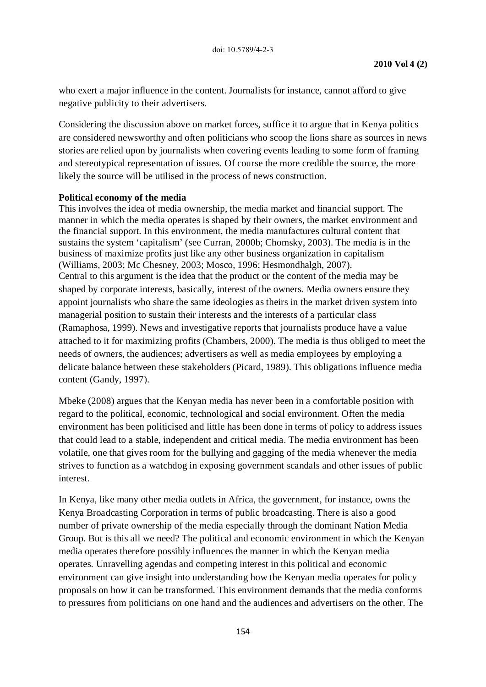who exert a major influence in the content. Journalists for instance, cannot afford to give negative publicity to their advertisers.

Considering the discussion above on market forces, suffice it to argue that in Kenya politics are considered newsworthy and often politicians who scoop the lions share as sources in news stories are relied upon by journalists when covering events leading to some form of framing and stereotypical representation of issues. Of course the more credible the source, the more likely the source will be utilised in the process of news construction.

#### **Political economy of the media**

This involves the idea of media ownership, the media market and financial support. The manner in which the media operates is shaped by their owners, the market environment and the financial support. In this environment, the media manufactures cultural content that sustains the system 'capitalism' (see Curran, 2000b; Chomsky, 2003). The media is in the business of maximize profits just like any other business organization in capitalism (Williams, 2003; Mc Chesney, 2003; Mosco, 1996; Hesmondhalgh, 2007). Central to this argument is the idea that the product or the content of the media may be shaped by corporate interests, basically, interest of the owners. Media owners ensure they appoint journalists who share the same ideologies as theirs in the market driven system into managerial position to sustain their interests and the interests of a particular class (Ramaphosa, 1999). News and investigative reports that journalists produce have a value attached to it for maximizing profits (Chambers, 2000). The media is thus obliged to meet the needs of owners, the audiences; advertisers as well as media employees by employing a delicate balance between these stakeholders (Picard, 1989). This obligations influence media content (Gandy, 1997).

Mbeke (2008) argues that the Kenyan media has never been in a comfortable position with regard to the political, economic, technological and social environment. Often the media environment has been politicised and little has been done in terms of policy to address issues that could lead to a stable, independent and critical media. The media environment has been volatile, one that gives room for the bullying and gagging of the media whenever the media strives to function as a watchdog in exposing government scandals and other issues of public interest.

In Kenya, like many other media outlets in Africa, the government, for instance, owns the Kenya Broadcasting Corporation in terms of public broadcasting. There is also a good number of private ownership of the media especially through the dominant Nation Media Group. But is this all we need? The political and economic environment in which the Kenyan media operates therefore possibly influences the manner in which the Kenyan media operates. Unravelling agendas and competing interest in this political and economic environment can give insight into understanding how the Kenyan media operates for policy proposals on how it can be transformed. This environment demands that the media conforms to pressures from politicians on one hand and the audiences and advertisers on the other. The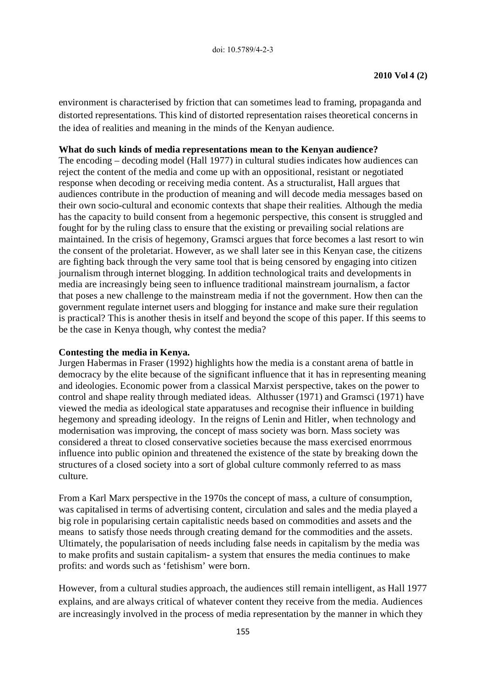environment is characterised by friction that can sometimes lead to framing, propaganda and distorted representations. This kind of distorted representation raises theoretical concerns in the idea of realities and meaning in the minds of the Kenyan audience.

## **What do such kinds of media representations mean to the Kenyan audience?**

The encoding – decoding model (Hall 1977) in cultural studies indicates how audiences can reject the content of the media and come up with an oppositional, resistant or negotiated response when decoding or receiving media content. As a structuralist, Hall argues that audiences contribute in the production of meaning and will decode media messages based on their own socio-cultural and economic contexts that shape their realities. Although the media has the capacity to build consent from a hegemonic perspective, this consent is struggled and fought for by the ruling class to ensure that the existing or prevailing social relations are maintained. In the crisis of hegemony, Gramsci argues that force becomes a last resort to win the consent of the proletariat. However, as we shall later see in this Kenyan case, the citizens are fighting back through the very same tool that is being censored by engaging into citizen journalism through internet blogging. In addition technological traits and developments in media are increasingly being seen to influence traditional mainstream journalism, a factor that poses a new challenge to the mainstream media if not the government. How then can the government regulate internet users and blogging for instance and make sure their regulation is practical? This is another thesis in itself and beyond the scope of this paper. If this seems to be the case in Kenya though, why contest the media?

## **Contesting the media in Kenya.**

Jurgen Habermas in Fraser (1992) highlights how the media is a constant arena of battle in democracy by the elite because of the significant influence that it has in representing meaning and ideologies. Economic power from a classical Marxist perspective, takes on the power to control and shape reality through mediated ideas. Althusser (1971) and Gramsci (1971) have viewed the media as ideological state apparatuses and recognise their influence in building hegemony and spreading ideology. In the reigns of Lenin and Hitler, when technology and modernisation was improving, the concept of mass society was born. Mass society was considered a threat to closed conservative societies because the mass exercised enorrmous influence into public opinion and threatened the existence of the state by breaking down the structures of a closed society into a sort of global culture commonly referred to as mass culture.

From a Karl Marx perspective in the 1970s the concept of mass, a culture of consumption, was capitalised in terms of advertising content, circulation and sales and the media played a big role in popularising certain capitalistic needs based on commodities and assets and the means to satisfy those needs through creating demand for the commodities and the assets. Ultimately, the popularisation of needs including false needs in capitalism by the media was to make profits and sustain capitalism- a system that ensures the media continues to make profits: and words such as 'fetishism' were born.

However, from a cultural studies approach, the audiences still remain intelligent, as Hall 1977 explains, and are always critical of whatever content they receive from the media. Audiences are increasingly involved in the process of media representation by the manner in which they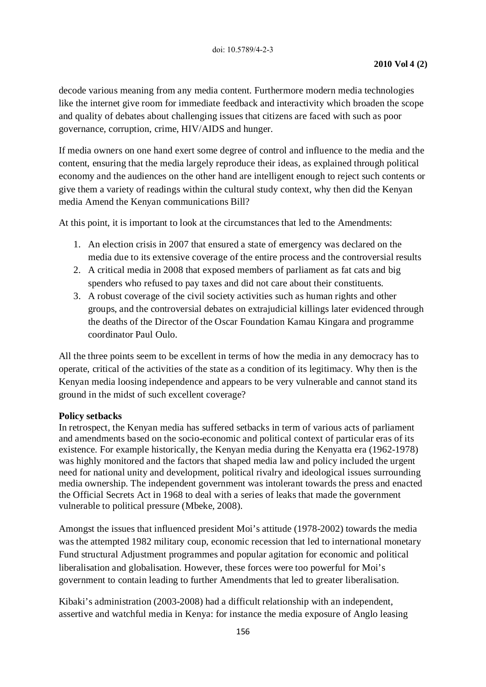decode various meaning from any media content. Furthermore modern media technologies like the internet give room for immediate feedback and interactivity which broaden the scope and quality of debates about challenging issues that citizens are faced with such as poor governance, corruption, crime, HIV/AIDS and hunger.

If media owners on one hand exert some degree of control and influence to the media and the content, ensuring that the media largely reproduce their ideas, as explained through political economy and the audiences on the other hand are intelligent enough to reject such contents or give them a variety of readings within the cultural study context, why then did the Kenyan media Amend the Kenyan communications Bill?

At this point, it is important to look at the circumstances that led to the Amendments:

- 1. An election crisis in 2007 that ensured a state of emergency was declared on the media due to its extensive coverage of the entire process and the controversial results
- 2. A critical media in 2008 that exposed members of parliament as fat cats and big spenders who refused to pay taxes and did not care about their constituents.
- 3. A robust coverage of the civil society activities such as human rights and other groups, and the controversial debates on extrajudicial killings later evidenced through the deaths of the Director of the Oscar Foundation Kamau Kingara and programme coordinator Paul Oulo.

All the three points seem to be excellent in terms of how the media in any democracy has to operate, critical of the activities of the state as a condition of its legitimacy. Why then is the Kenyan media loosing independence and appears to be very vulnerable and cannot stand its ground in the midst of such excellent coverage?

## **Policy setbacks**

In retrospect, the Kenyan media has suffered setbacks in term of various acts of parliament and amendments based on the socio-economic and political context of particular eras of its existence. For example historically, the Kenyan media during the Kenyatta era (1962-1978) was highly monitored and the factors that shaped media law and policy included the urgent need for national unity and development, political rivalry and ideological issues surrounding media ownership. The independent government was intolerant towards the press and enacted the Official Secrets Act in 1968 to deal with a series of leaks that made the government vulnerable to political pressure (Mbeke, 2008).

Amongst the issues that influenced president Moi's attitude (1978-2002) towards the media was the attempted 1982 military coup, economic recession that led to international monetary Fund structural Adjustment programmes and popular agitation for economic and political liberalisation and globalisation. However, these forces were too powerful for Moi's government to contain leading to further Amendments that led to greater liberalisation.

Kibaki's administration (2003-2008) had a difficult relationship with an independent, assertive and watchful media in Kenya: for instance the media exposure of Anglo leasing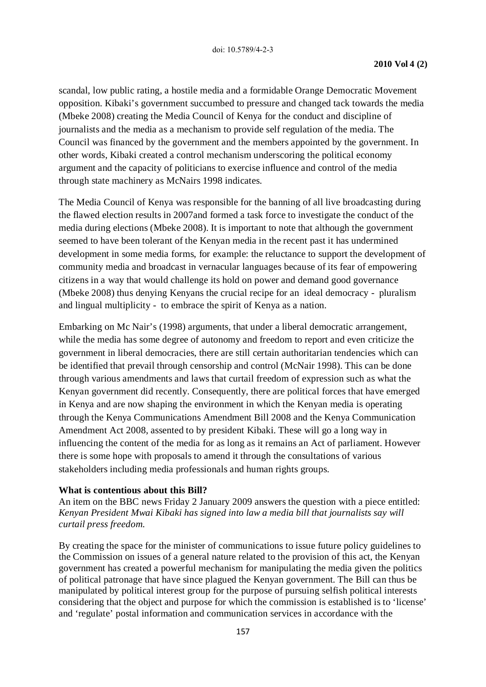scandal, low public rating, a hostile media and a formidable Orange Democratic Movement opposition. Kibaki's government succumbed to pressure and changed tack towards the media (Mbeke 2008) creating the Media Council of Kenya for the conduct and discipline of journalists and the media as a mechanism to provide self regulation of the media. The Council was financed by the government and the members appointed by the government. In other words, Kibaki created a control mechanism underscoring the political economy argument and the capacity of politicians to exercise influence and control of the media through state machinery as McNairs 1998 indicates.

The Media Council of Kenya was responsible for the banning of all live broadcasting during the flawed election results in 2007and formed a task force to investigate the conduct of the media during elections (Mbeke 2008). It is important to note that although the government seemed to have been tolerant of the Kenyan media in the recent past it has undermined development in some media forms, for example: the reluctance to support the development of community media and broadcast in vernacular languages because of its fear of empowering citizens in a way that would challenge its hold on power and demand good governance (Mbeke 2008) thus denying Kenyans the crucial recipe for an ideal democracy - pluralism and lingual multiplicity - to embrace the spirit of Kenya as a nation.

Embarking on Mc Nair's (1998) arguments, that under a liberal democratic arrangement, while the media has some degree of autonomy and freedom to report and even criticize the government in liberal democracies, there are still certain authoritarian tendencies which can be identified that prevail through censorship and control (McNair 1998). This can be done through various amendments and laws that curtail freedom of expression such as what the Kenyan government did recently. Consequently, there are political forces that have emerged in Kenya and are now shaping the environment in which the Kenyan media is operating through the Kenya Communications Amendment Bill 2008 and the Kenya Communication Amendment Act 2008, assented to by president Kibaki. These will go a long way in influencing the content of the media for as long as it remains an Act of parliament. However there is some hope with proposals to amend it through the consultations of various stakeholders including media professionals and human rights groups.

## **What is contentious about this Bill?**

An item on the BBC news Friday 2 January 2009 answers the question with a piece entitled: *Kenyan President Mwai Kibaki has signed into law a media bill that journalists say will curtail press freedom.* 

By creating the space for the minister of communications to issue future policy guidelines to the Commission on issues of a general nature related to the provision of this act, the Kenyan government has created a powerful mechanism for manipulating the media given the politics of political patronage that have since plagued the Kenyan government. The Bill can thus be manipulated by political interest group for the purpose of pursuing selfish political interests considering that the object and purpose for which the commission is established is to 'license' and 'regulate' postal information and communication services in accordance with the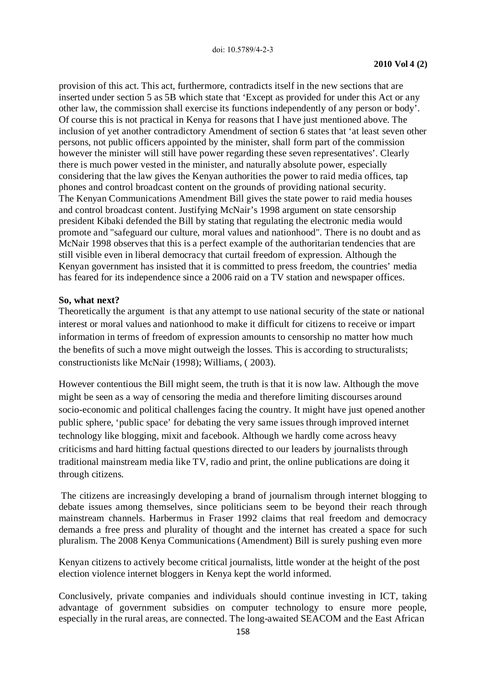provision of this act. This act, furthermore, contradicts itself in the new sections that are inserted under section 5 as 5B which state that 'Except as provided for under this Act or any other law, the commission shall exercise its functions independently of any person or body'. Of course this is not practical in Kenya for reasons that I have just mentioned above. The inclusion of yet another contradictory Amendment of section 6 states that 'at least seven other persons, not public officers appointed by the minister, shall form part of the commission however the minister will still have power regarding these seven representatives'. Clearly there is much power vested in the minister, and naturally absolute power, especially considering that the law gives the Kenyan authorities the power to raid media offices, tap phones and control broadcast content on the grounds of providing national security. The Kenyan Communications Amendment Bill gives the state power to raid media houses and control broadcast content. Justifying McNair's 1998 argument on state censorship president Kibaki defended the Bill by stating that regulating the electronic media would promote and "safeguard our culture, moral values and nationhood". There is no doubt and as McNair 1998 observes that this is a perfect example of the authoritarian tendencies that are still visible even in liberal democracy that curtail freedom of expression. Although the Kenyan government has insisted that it is committed to press freedom, the countries' media has feared for its independence since a 2006 raid on a TV station and newspaper offices.

## **So, what next?**

Theoretically the argument is that any attempt to use national security of the state or national interest or moral values and nationhood to make it difficult for citizens to receive or impart information in terms of freedom of expression amounts to censorship no matter how much the benefits of such a move might outweigh the losses. This is according to structuralists; constructionists like McNair (1998); Williams, ( 2003).

However contentious the Bill might seem, the truth is that it is now law. Although the move might be seen as a way of censoring the media and therefore limiting discourses around socio-economic and political challenges facing the country. It might have just opened another public sphere, 'public space' for debating the very same issues through improved internet technology like blogging, mixit and facebook. Although we hardly come across heavy criticisms and hard hitting factual questions directed to our leaders by journalists through traditional mainstream media like TV, radio and print, the online publications are doing it through citizens.

The citizens are increasingly developing a brand of journalism through internet blogging to debate issues among themselves, since politicians seem to be beyond their reach through mainstream channels. Harbermus in Fraser 1992 claims that real freedom and democracy demands a free press and plurality of thought and the internet has created a space for such pluralism. The 2008 Kenya Communications (Amendment) Bill is surely pushing even more

Kenyan citizens to actively become critical journalists, little wonder at the height of the post election violence internet bloggers in Kenya kept the world informed.

Conclusively, private companies and individuals should continue investing in ICT, taking advantage of government subsidies on computer technology to ensure more people, especially in the rural areas, are connected. The long-awaited SEACOM and the East African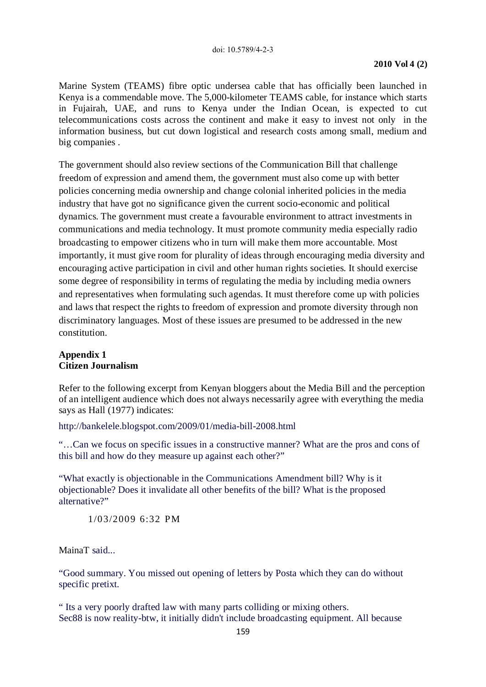Marine System (TEAMS) fibre optic undersea cable that has officially been launched in Kenya is a commendable move. The 5,000-kilometer TEAMS cable, for instance which starts in Fujairah, UAE, and runs to Kenya under the Indian Ocean, is expected to cut telecommunications costs across the continent and make it easy to invest not only in the information business, but cut down logistical and research costs among small, medium and big companies .

The government should also review sections of the Communication Bill that challenge freedom of expression and amend them, the government must also come up with better policies concerning media ownership and change colonial inherited policies in the media industry that have got no significance given the current socio-economic and political dynamics. The government must create a favourable environment to attract investments in communications and media technology. It must promote community media especially radio broadcasting to empower citizens who in turn will make them more accountable. Most importantly, it must give room for plurality of ideas through encouraging media diversity and encouraging active participation in civil and other human rights societies. It should exercise some degree of responsibility in terms of regulating the media by including media owners and representatives when formulating such agendas. It must therefore come up with policies and laws that respect the rights to freedom of expression and promote diversity through non discriminatory languages. Most of these issues are presumed to be addressed in the new constitution.

## **Appendix 1 Citizen Journalism**

Refer to the following excerpt from Kenyan bloggers about the Media Bill and the perception of an intelligent audience which does not always necessarily agree with everything the media says as Hall (1977) indicates:

http://bankelele.blogspot.com/2009/01/media-bill-2008.html

"…Can we focus on specific issues in a constructive manner? What are the pros and cons of this bill and how do they measure up against each other?"

"What exactly is objectionable in the Communications Amendment bill? Why is it objectionable? Does it invalidate all other benefits of the bill? What is the proposed alternative?"

[1/03/2009 6:32 PM](http://bankelele.blogspot.com/2009/01/media-bill-2008.html?showComment=1230996720000#c208666412617277875) 

[MainaT](http://www.blogger.com/profile/12266497232119983697) said...

"Good summary. You missed out opening of letters by Posta which they can do without specific pretixt.

" Its a very poorly drafted law with many parts colliding or mixing others. Sec88 is now reality-btw, it initially didn't include broadcasting equipment. All because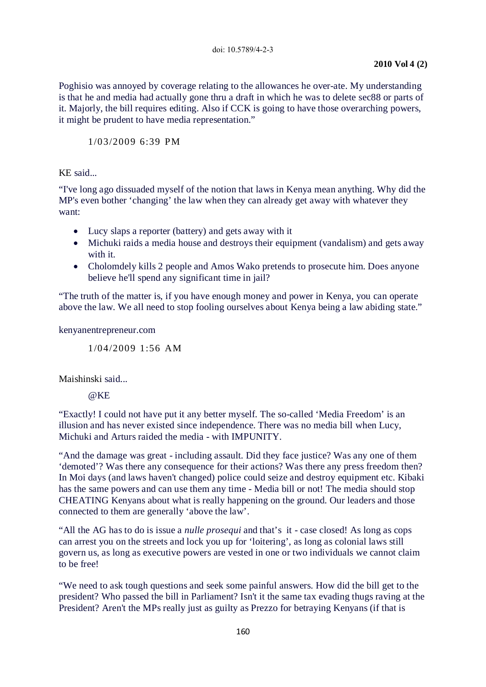Poghisio was annoyed by coverage relating to the allowances he over-ate. My understanding is that he and media had actually gone thru a draft in which he was to delete sec88 or parts of it. Majorly, the bill requires editing. Also if CCK is going to have those overarching powers, it might be prudent to have media representation."

[1/03/2009 6:39 PM](http://bankelele.blogspot.com/2009/01/media-bill-2008.html?showComment=1230997140000#c457666807668768412) 

[KE](http://kenyanentrepreneur.com/) said...

"I've long ago dissuaded myself of the notion that laws in Kenya mean anything. Why did the MP's even bother 'changing' the law when they can already get away with whatever they want:

- Lucy slaps a reporter (battery) and gets away with it
- Michuki raids a media house and destroys their equipment (vandalism) and gets away with it.
- Cholomdely kills 2 people and Amos Wako pretends to prosecute him. Does anyone believe he'll spend any significant time in jail?

"The truth of the matter is, if you have enough money and power in Kenya, you can operate above the law. We all need to stop fooling ourselves about Kenya being a law abiding state."

kenyanentrepreneur.com

[1/04/2009 1:56 AM](http://bankelele.blogspot.com/2009/01/media-bill-2008.html?showComment=1231023360000#c6966007019039647632) 

[Maishinski](http://maishinski.blogspot.com/) said...

@KE

"Exactly! I could not have put it any better myself. The so-called 'Media Freedom' is an illusion and has never existed since independence. There was no media bill when Lucy, Michuki and Arturs raided the media - with IMPUNITY.

"And the damage was great - including assault. Did they face justice? Was any one of them 'demoted'? Was there any consequence for their actions? Was there any press freedom then? In Moi days (and laws haven't changed) police could seize and destroy equipment etc. Kibaki has the same powers and can use them any time - Media bill or not! The media should stop CHEATING Kenyans about what is really happening on the ground. Our leaders and those connected to them are generally 'above the law'.

"All the AG has to do is issue a *nulle prosequi* and that's it - case closed! As long as cops can arrest you on the streets and lock you up for 'loitering', as long as colonial laws still govern us, as long as executive powers are vested in one or two individuals we cannot claim to be free!

"We need to ask tough questions and seek some painful answers. How did the bill get to the president? Who passed the bill in Parliament? Isn't it the same tax evading thugs raving at the President? Aren't the MPs really just as guilty as Prezzo for betraying Kenyans (if that is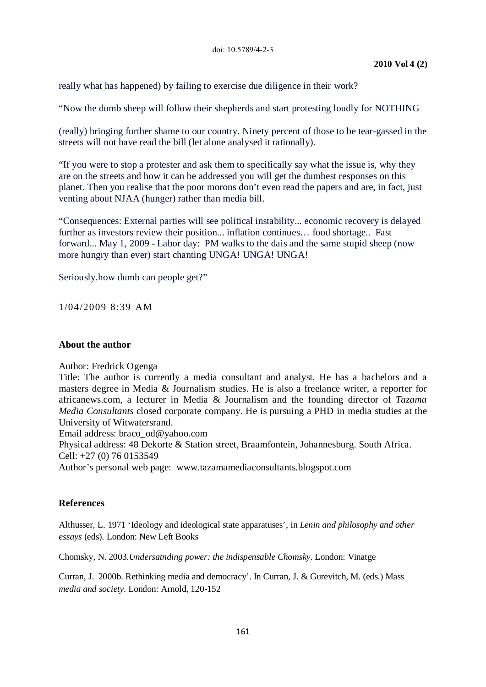#### doi: 10.5789/4-2-3

really what has happened) by failing to exercise due diligence in their work?

"Now the dumb sheep will follow their shepherds and start protesting loudly for NOTHING

(really) bringing further shame to our country. Ninety percent of those to be tear-gassed in the streets will not have read the bill (let alone analysed it rationally).

"If you were to stop a protester and ask them to specifically say what the issue is, why they are on the streets and how it can be addressed you will get the dumbest responses on this planet. Then you realise that the poor morons don't even read the papers and are, in fact, just venting about NJAA (hunger) rather than media bill.

"Consequences: External parties will see political instability... economic recovery is delayed further as investors review their position... inflation continues… food shortage.. Fast forward... May 1, 2009 - Labor day: PM walks to the dais and the same stupid sheep (now more hungry than ever) start chanting UNGA! UNGA! UNGA!

Seriously.how dumb can people get?"

[1/04/2009 8:39 AM](http://bankelele.blogspot.com/2009/01/media-bill-2008.html?showComment=1231047540000#c6654154063334142130) 

## **About the author**

Author: Fredrick Ogenga

Title: The author is currently a media consultant and analyst. He has a bachelors and a masters degree in Media & Journalism studies. He is also a freelance writer, a reporter for africanews.com, a lecturer in Media & Journalism and the founding director of *Tazama Media Consultants* closed corporate company. He is pursuing a PHD in media studies at the University of Witwatersrand.

Email address: [braco\\_od@yahoo.com](mailto:braco_od@yahoo.com)

Physical address: 48 Dekorte & Station street, Braamfontein, Johannesburg. South Africa. Cell: +27 (0) 76 0153549

Author's personal web page: [www.tazamamediaconsultants.blogspot.com](http://www.tazamamediaconsultants.blogspot.com/)

## **References**

Althusser, L. 1971 'Ideology and ideological state apparatuses', in *Lenin and philosophy and other essays* (eds). London: New Left Books

Chomsky, N. 2003.*Undersatnding power: the indispensable Chomsky*. London: Vinatge

Curran, J. 2000b. Rethinking media and democracy'. In Curran, J. & Gurevitch, M. (eds.) Mass *media and society*. London: Arnold, 120-152